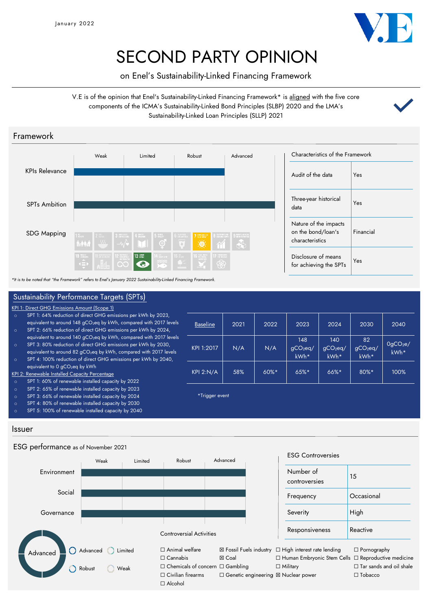

## SECOND PARTY OPINION

on Enel's Sustainability-Linked Financing Framework

V.E is of the opinion that Enel's Sustainability-Linked Financing Framework\* is aligned with the five core components of the ICMA's Sustainability-Linked Bond Principles (SLBP) 2020 and the LMA's Sustainability-Linked Loan Principles (SLLP) 2021



*\*It is to be noted that "the Framework" refers to Enel's January 2022 Sustainability-Linked Financing Framework.*

#### <u>Baseline</u> | 2021 | 2022 | 2023 | 2024 | 2030 | 2040 KPI 1:2017  $N/A$  N/A 148 gCO2eq/ kWh\* 140 gCO2eq/ kWh\* 82 gCO2eq/ kWh\*  $O<sub>9</sub>CO<sub>2</sub>e/$ kWh\* KPI 2:N/A | 58% | 60%\* | 65%\* | 66%\* | 80%\* | 100% Issuer Sustainability Performance Targets (SPTs) \*Trigger event KPI 1: Direct GHG Emissions Amount (Scope 1) SPT 1: 64% reduction of direct GHG emissions per kWh by 2023, equivalent to around 148 gCO<sub>2</sub>eq by kWh, compared with 2017 levels o SPT 2: 66% reduction of direct GHG emissions per kWh by 2024, equivalent to around 140 gCO<sub>2</sub>eq by kWh, compared with 2017 levels o SPT 3: 80% reduction of direct GHG emissions per kWh by 2030, equivalent to around 82 gCO<sub>2</sub>eq by kWh, compared with 2017 levels o SPT 4: 100% reduction of direct GHG emissions per kWh by 2040, equivalent to 0 gCO<sub>2</sub>eq by kWh KPI 2: Renewable Installed Capacity Percentage SPT 1: 60% of renewable installed capacity by 2022 SPT 2: 65% of renewable installed capacity by 2023 o SPT 3: 66% of renewable installed capacity by 2024 o SPT 4: 80% of renewable installed capacity by 2030 SPT 5: 100% of renewable installed capacity by 2040

## ESG performance as of November 2021



#### ESG Controversies

| Number of<br>controversies | 15         |
|----------------------------|------------|
| Frequency                  | Occasional |
| Severity                   | High       |
| Responsiveness             | Reactive   |

□ Military

□ Tar sands and oil shale ☐ Tobacco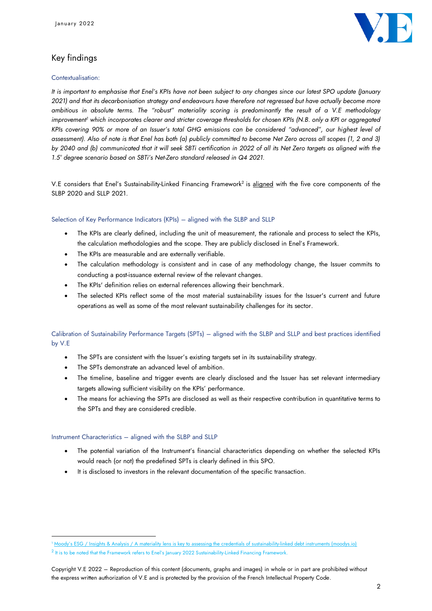

## Key findings

#### Contextualisation:

*It is important to emphasise that Enel's KPIs have not been subject to any changes since our latest SPO update (January 2021) and that its decarbonisation strategy and endeavours have therefore not regressed but have actually become more ambitious in absolute terms. The "robust" materiality scoring is predominantly the result of a V.E methodology improvement<sup>1</sup> which incorporates clearer and stricter coverage thresholds for chosen KPIs (N.B. only a KPI or aggregated KPIs covering 90% or more of an Issuer's total GHG emissions can be considered "advanced", our highest level of*  assessment). Also of note is that Enel has both (a) publicly committed to become Net Zero across all scopes (1, 2 and 3) *by 2040 and (b) communicated that it will seek SBTi certification in 2022 of all its Net Zero targets as aligned with the 1.5° degree scenario based on SBTi's Net-Zero standard released in Q4 2021.* 

V.E considers that Enel's Sustainability-Linked Financing Framework<sup>2</sup> is <u>aligned</u> with the five core components of the SLBP 2020 and SLLP 2021.

#### Selection of Key Performance Indicators (KPIs) – aligned with the SLBP and SLLP

- The KPIs are clearly defined, including the unit of measurement, the rationale and process to select the KPIs, the calculation methodologies and the scope. They are publicly disclosed in Enel's Framework.
- The KPIs are measurable and are externally verifiable.
- The calculation methodology is consistent and in case of any methodology change, the Issuer commits to conducting a post-issuance external review of the relevant changes.
- The KPIs' definition relies on external references allowing their benchmark.
- The selected KPIs reflect some of the most material sustainability issues for the Issuer's current and future operations as well as some of the most relevant sustainability challenges for its sector.

## Calibration of Sustainability Performance Targets (SPTs) – aligned with the SLBP and SLLP and best practices identified by V.E

- The SPTs are consistent with the Issuer's existing targets set in its sustainability strategy.
- The SPTs demonstrate an advanced level of ambition.
- The timeline, baseline and trigger events are clearly disclosed and the Issuer has set relevant intermediary targets allowing sufficient visibility on the KPIs' performance.
- The means for achieving the SPTs are disclosed as well as their respective contribution in quantitative terms to the SPTs and they are considered credible.

#### Instrument Characteristics – aligned with the SLBP and SLLP

- The potential variation of the Instrument's financial characteristics depending on whether the selected KPIs would reach (or not) the predefined SPTs is clearly defined in this SPO.
- It is disclosed to investors in the relevant documentation of the specific transaction.

<sup>1</sup> [Moody's ESG / Insights & Analysis / A materiality lens is key to assessing the credentials of sust](https://esg.moodys.io/insights-analysis-reports/a-materiality-lens-is-key-to-assessing-the-credentials-of-sustainability-linked-debt-instruments)ainability-linked debt instruments (moodys.io)

 $^2$  It is to be noted that the Framework refers to Enel's January 2022 Sustainability-Linked Financing Framework.

Copyright V.E 2022 – Reproduction of this content (documents, graphs and images) in whole or in part are prohibited without the express written authorization of V.E and is protected by the provision of the French Intellectual Property Code.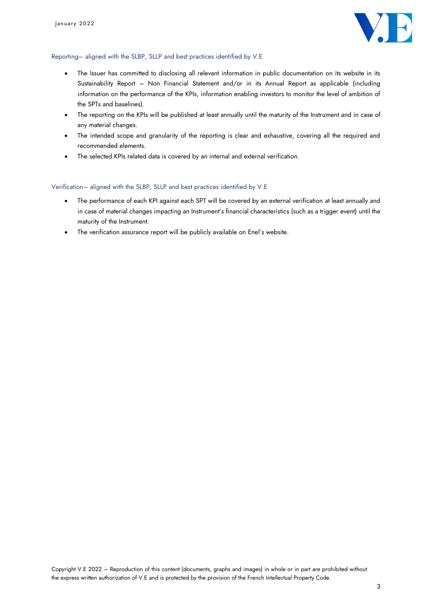

#### Reporting– aligned with the SLBP, SLLP and best practices identified by V.E

- The Issuer has committed to disclosing all relevant information in public documentation on its website in its Sustainability Report – Non Financial Statement and/or in its Annual Report as applicable (including information on the performance of the KPIs, information enabling investors to monitor the level of ambition of the SPTs and baselines).
- The reporting on the KPIs will be published at least annually until the maturity of the Instrument and in case of any material changes.
- The intended scope and granularity of the reporting is clear and exhaustive, covering all the required and recommended elements.
- The selected KPIs related data is covered by an internal and external verification.

#### Verification– aligned with the SLBP, SLLP and best practices identified by V.E

- The performance of each KPI against each SPT will be covered by an external verification at least annually and in case of material changes impacting an Instrument's financial characteristics (such as a trigger event) until the maturity of the Instrument.
- The verification assurance report will be publicly available on Enel's website.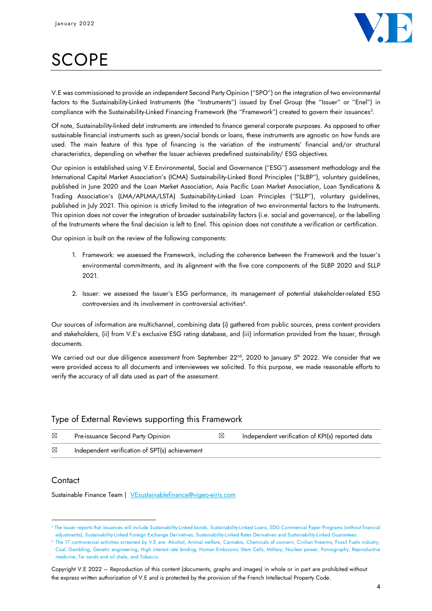

# **SCOPE**

V.E was commissioned to provide an independent Second Party Opinion ("SPO") on the integration of two environmental factors to the Sustainability-Linked Instruments (the "Instruments") issued by Enel Group (the "Issuer" or "Enel") in compliance with the Sustainability-Linked Financing Framework (the "Framework") created to govern their issuances<sup>3</sup> .

Of note, Sustainability-linked debt instruments are intended to finance general corporate purposes. As opposed to other sustainable financial instruments such as green/social bonds or loans, these instruments are agnostic on how funds are used. The main feature of this type of financing is the variation of the instruments' financial and/or structural characteristics, depending on whether the Issuer achieves predefined sustainability/ ESG objectives.

Our opinion is established using V.E Environmental, Social and Governance ("ESG") assessment methodology and the International Capital Market Association's (ICMA) Sustainability-Linked Bond Principles ("SLBP"), voluntary guidelines, published in June 2020 and the Loan Market Association, Asia Pacific Loan Market Association, Loan Syndications & Trading Association's (LMA/APLMA/LSTA) Sustainability-Linked Loan Principles ("SLLP"), voluntary guidelines, published in July 2021. This opinion is strictly limited to the integration of two environmental factors to the Instruments. This opinion does not cover the integration of broader sustainability factors (i.e. social and governance), or the labelling of the Instruments where the final decision is left to Enel. This opinion does not constitute a verification or certification.

Our opinion is built on the review of the following components:

- 1. Framework: we assessed the Framework, including the coherence between the Framework and the Issuer's environmental commitments, and its alignment with the five core components of the SLBP 2020 and SLLP 2021.
- 2. Issuer: we assessed the Issuer's ESG performance, its management of potential stakeholder-related ESG controversies and its involvement in controversial activities<sup>4</sup> .

Our sources of information are multichannel, combining data (i) gathered from public sources, press content providers and stakeholders, (ii) from V.E's exclusive ESG rating database, and (iii) information provided from the Issuer, through documents.

We carried out our due diligence assessment from September 22<sup>nd</sup>, 2020 to January 5<sup>th</sup> 2022. We consider that we were provided access to all documents and interviewees we solicited. To this purpose, we made reasonable efforts to verify the accuracy of all data used as part of the assessment.

## Type of External Reviews supporting this Framework

| ⊠           | Pre-issuance Second Party Opinion              | Independent verification of KPI(s) reported data |
|-------------|------------------------------------------------|--------------------------------------------------|
| $\boxtimes$ | Independent verification of SPT(s) achievement |                                                  |

## **Contact**

Sustainable Finance Team | [VEsustainablefinance@vigeo-eiris.com](mailto:VEsustainablefinance@vigeo-eiris.com)

<sup>3</sup> The Issuer reports that issuances will include Sustainability-Linked bonds, Sustainability-Linked Loans, SDG Commercial Paper Programs (without financial adjustments), Sustainability-Linked Foreign Exchange Derivatives, Sustainability-Linked Rates Derivatives and Sustainability-Linked Guarantees.

<sup>4</sup> The 17 controversial activities screened by V.E are: Alcohol, Animal welfare, Cannabis, Chemicals of concern, Civilian firearms, Fossil Fuels industry, Coal, Gambling, Genetic engineering, High interest rate lending, Human Embryonic Stem Cells, Military, Nuclear power, Pornography, Reproductive medicine, Tar sands and oil shale, and Tobacco.

Copyright V.E 2022 – Reproduction of this content (documents, graphs and images) in whole or in part are prohibited without the express written authorization of V.E and is protected by the provision of the French Intellectual Property Code.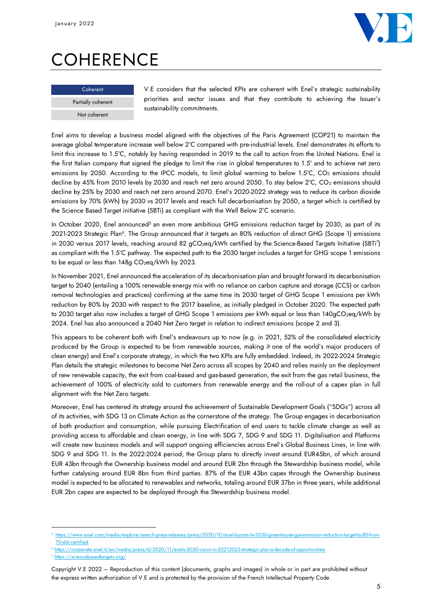

# **COHERENCE**

#### **Coherent**

Partially coherent Not coherent

V.E considers that the selected KPIs are coherent with Enel's strategic sustainability priorities and sector issues and that they contribute to achieving the Issuer's sustainability commitments.

Enel aims to develop a business model aligned with the objectives of the Paris Agreement (COP21) to maintain the average global temperature increase well below 2°C compared with pre-industrial levels. Enel demonstrates its efforts to limit this increase to 1.5°C, notably by having responded in 2019 to the call to action from the United Nations. Enel is the first Italian company that signed the pledge to limit the rise in global temperatures to 1.5° and to achieve net zero emissions by 2050. According to the IPCC models, to limit global warming to below 1.5°C, CO<sub>2</sub> emissions should decline by 45% from 2010 levels by 2030 and reach net zero around 2050. To stay below 2°C, CO<sub>2</sub> emissions should decline by 25% by 2030 and reach net zero around 2070. Enel's 2020-2022 strategy was to reduce its carbon dioxide emissions by 70% (kWh) by 2030 vs 2017 levels and reach full decarbonisation by 2050, a target which is certified by the Science Based Target initiative (SBTi) as compliant with the Well Below 2°C scenario.

In October 2020, Enel announced<sup>5</sup> an even more ambitious GHG emissions reduction target by 2030, as part of its 2021-2023 Strategic Plan<sup>6</sup>. The Group announced that it targets an 80% reduction of direct GHG (Scope 1) emissions in 2030 versus 2017 levels, reaching around 82 gCO2eq/kWh certified by the Science-Based Targets Initiative (SBTi<sup>7</sup> ) as compliant with the 1.5°C pathway. The expected path to the 2030 target includes a target for GHG scope 1 emissions to be equal or less than 148g CO<sub>2</sub>eq/kWh by 2023.

In November 2021, Enel announced the acceleration of its decarbonisation plan and brought forward its decarbonisation target to 2040 (entailing a 100% renewable energy mix with no reliance on carbon capture and storage (CCS) or carbon removal technologies and practices) confirming at the same time its 2030 target of GHG Scope 1 emissions per kWh reduction by 80% by 2030 with respect to the 2017 baseline, as initially pledged in October 2020. The expected path to 2030 target also now includes a target of GHG Scope 1 emissions per kWh equal or less than 140gCO<sub>2</sub>eq/kWh by 2024. Enel has also announced a 2040 Net Zero target in relation to indirect emissions (scope 2 and 3).

This appears to be coherent both with Enel's endeavours up to now (e.g. in 2021, 52% of the consolidated electricity produced by the Group is expected to be from renewable sources, making it one of the world's major producers of clean energy) and Enel's corporate strategy, in which the two KPIs are fully embedded. Indeed, its 2022-2024 Strategic Plan details the strategic milestones to become Net Zero across all scopes by 2040 and relies mainly on the deployment of new renewable capacity, the exit from coal-based and gas-based generation, the exit from the gas retail business, the achievement of 100% of electricity sold to customers from renewable energy and the roll-out of a capex plan in full alignment with the Net Zero targets.

Moreover, Enel has centered its strategy around the achievement of Sustainable Development Goals ("SDGs") across all of its activities, with SDG 13 on Climate Action as the cornerstone of the strategy. The Group engages in decarbonisation of both production and consumption, while pursuing Electrification of end users to tackle climate change as well as providing access to affordable and clean energy, in line with SDG 7, SDG 9 and SDG 11. Digitalisation and Platforms will create new business models and will support ongoing efficiencies across Enel's Global Business Lines, in line with SDG 9 and SDG 11. In the 2022-2024 period, the Group plans to directly invest around EUR45bn, of which around EUR 43bn through the Ownership business model and around EUR 2bn through the Stewardship business model, while further catalysing around EUR 8bn from third parties. 87% of the EUR 43bn capex through the Ownership business model is expected to be allocated to renewables and networks, totaling around EUR 37bn in three years, while additional EUR 2bn capex are expected to be deployed through the Stewardship business model.

https://www.enel.com/media/explore/search-press-releases/press/2020/10/enel-boosts-its-2030-greenhouse-gas-emission-reduction-target-to-80-from 70-sbti-certified

<sup>/</sup>press/d/2020/11/enels-2030-vision-in-20212023-

<sup>7</sup> https://sciencebasedtargets.org/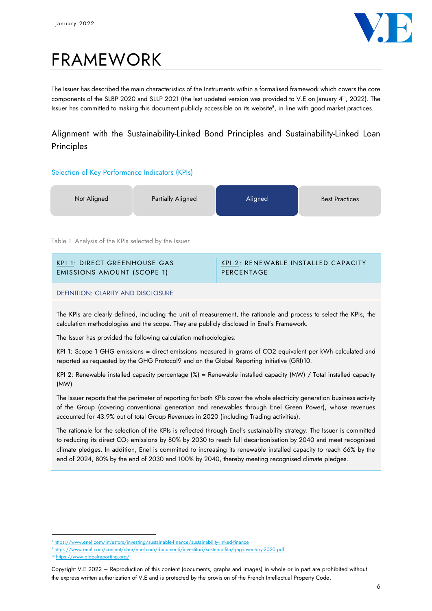

# FRAMEWORK

The Issuer has described the main characteristics of the Instruments within a formalised framework which covers the core components of the SLBP 2020 and SLLP 2021 (the last updated version was provided to V.E on January 4<sup>th</sup>, 2022). The Issuer has committed to making this document publicly accessible on its website $^{\rm 8}$ , in line with good market practices.

## Alignment with the Sustainability-Linked Bond Principles and Sustainability-Linked Loan **Principles**

## Selection of Key Performance Indicators (KPIs)

| Not Aligned | Partially Aligned<br>Aligned | <b>Best Practices</b> |
|-------------|------------------------------|-----------------------|
|-------------|------------------------------|-----------------------|

Table 1. Analysis of the KPIs selected by the Issuer

| KPI 1: DIRECT GREENHOUSE GAS      | KPI 2: RENEWABLE INSTALLED CAPACITY |
|-----------------------------------|-------------------------------------|
| <b>EMISSIONS AMOUNT (SCOPE 1)</b> | PERCENTAGE                          |
|                                   |                                     |

DEFINITION: CLARITY AND DISCLOSURE

The KPIs are clearly defined, including the unit of measurement, the rationale and process to select the KPIs, the calculation methodologies and the scope. They are publicly disclosed in Enel's Framework.

The Issuer has provided the following calculation methodologies:

KPI 1: Scope 1 GHG emissions = direct emissions measured in grams of CO2 equivalent per kWh calculated and reported as requested by the GHG Protocol9 and on the Global Reporting Initiative (GRI)10.

KPI 2: Renewable installed capacity percentage (%) = Renewable installed capacity (MW) / Total installed capacity (MW)

The Issuer reports that the perimeter of reporting for both KPIs cover the whole electricity generation business activity of the Group (covering conventional generation and renewables through Enel Green Power), whose revenues accounted for 43.9% out of total Group Revenues in 2020 (including Trading activities).

The rationale for the selection of the KPIs is reflected through Enel's sustainability strategy. The Issuer is committed to reducing its direct CO<sub>2</sub> emissions by 80% by 2030 to reach full decarbonisation by 2040 and meet recognised climate pledges. In addition, Enel is committed to increasing its renewable installed capacity to reach 66% by the end of 2024, 80% by the end of 2030 and 100% by 2040, thereby meeting recognised climate pledges.

<sup>&</sup>lt;sup>8</sup> <https://www.enel.com/investors/investing/sustainable-finance/sustainability-linked-finance>

<sup>9</sup> <https://www.enel.com/content/dam/enel-com/documenti/investitori/sostenibilita/ghg-inventory-2020.pdf>

<sup>10</sup> <https://www.globalreporting.org/>

Copyright V.E 2022 – Reproduction of this content (documents, graphs and images) in whole or in part are prohibited without the express written authorization of V.E and is protected by the provision of the French Intellectual Property Code.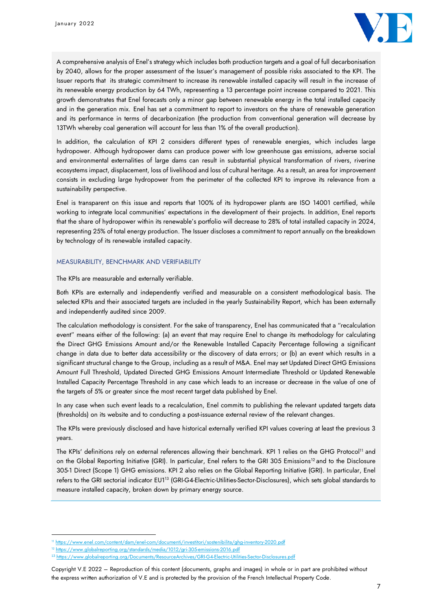

A comprehensive analysis of Enel's strategy which includes both production targets and a goal of full decarbonisation by 2040, allows for the proper assessment of the Issuer's management of possible risks associated to the KPI. The Issuer reports that its strategic commitment to increase its renewable installed capacity will result in the increase of its renewable energy production by 64 TWh, representing a 13 percentage point increase compared to 2021. This growth demonstrates that Enel forecasts only a minor gap between renewable energy in the total installed capacity and in the generation mix. Enel has set a commitment to report to investors on the share of renewable generation and its performance in terms of decarbonization (the production from conventional generation will decrease by 13TWh whereby coal generation will account for less than 1% of the overall production).

In addition, the calculation of KPI 2 considers different types of renewable energies, which includes large hydropower. Although hydropower dams can produce power with low greenhouse gas emissions, adverse social and environmental externalities of large dams can result in substantial physical transformation of rivers, riverine ecosystems impact, displacement, loss of livelihood and loss of cultural heritage. As a result, an area for improvement consists in excluding large hydropower from the perimeter of the collected KPI to improve its relevance from a sustainability perspective.

Enel is transparent on this issue and reports that 100% of its hydropower plants are ISO 14001 certified, while working to integrate local communities' expectations in the development of their projects. In addition, Enel reports that the share of hydropower within its renewable's portfolio will decrease to 28% of total installed capacity in 2024, representing 25% of total energy production. The Issuer discloses a commitment to report annually on the breakdown by technology of its renewable installed capacity.

#### MEASURABILITY, BENCHMARK AND VERIFIABILITY

The KPIs are measurable and externally verifiable.

Both KPIs are externally and independently verified and measurable on a consistent methodological basis. The selected KPIs and their associated targets are included in the yearly Sustainability Report, which has been externally and independently audited since 2009.

The calculation methodology is consistent. For the sake of transparency, Enel has communicated that a "recalculation event" means either of the following: (a) an event that may require Enel to change its methodology for calculating the Direct GHG Emissions Amount and/or the Renewable Installed Capacity Percentage following a significant change in data due to better data accessibility or the discovery of data errors; or (b) an event which results in a significant structural change to the Group, including as a result of M&A. Enel may set Updated Direct GHG Emissions Amount Full Threshold, Updated Directed GHG Emissions Amount Intermediate Threshold or Updated Renewable Installed Capacity Percentage Threshold in any case which leads to an increase or decrease in the value of one of the targets of 5% or greater since the most recent target data published by Enel.

In any case when such event leads to a recalculation, Enel commits to publishing the relevant updated targets data (thresholds) on its website and to conducting a post-issuance external review of the relevant changes.

The KPIs were previously disclosed and have historical externally verified KPI values covering at least the previous 3 years.

The KPIs' definitions rely on external references allowing their benchmark. KPI 1 relies on the GHG Protocol<sup>11</sup> and on the Global Reporting Initiative (GRI). In particular, Enel refers to the GRI 305 Emissions<sup>12</sup> and to the Disclosure 305-1 Direct (Scope 1) GHG emissions. KPI 2 also relies on the Global Reporting Initiative (GRI). In particular, Enel refers to the GRI sectorial indicator EU1<sup>13</sup> (GRI-G4-Electric-Utilities-Sector-Disclosures), which sets global standards to measure installed capacity, broken down by primary energy source.

<sup>11</sup> <https://www.enel.com/content/dam/enel-com/documenti/investitori/sostenibilita/ghg-inventory-2020.pdf>

edia/1012/gri-305

<sup>13</sup> <https://www.globalreporting.org/Documents/ResourceArchives/GRI-G4-Electric-Utilities-Sector-Disclosures.pdf>

Copyright V.E 2022 – Reproduction of this content (documents, graphs and images) in whole or in part are prohibited without the express written authorization of V.E and is protected by the provision of the French Intellectual Property Code.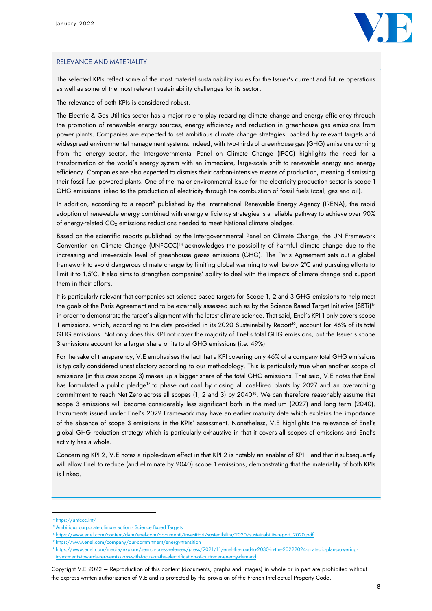

#### RELEVANCE AND MATERIALITY

The selected KPIs reflect some of the most material sustainability issues for the Issuer's current and future operations as well as some of the most relevant sustainability challenges for its sector.

The relevance of both KPIs is considered robust.

The Electric & Gas Utilities sector has a major role to play regarding climate change and energy efficiency through the promotion of renewable energy sources, energy efficiency and reduction in greenhouse gas emissions from power plants. Companies are expected to set ambitious climate change strategies, backed by relevant targets and widespread environmental management systems. Indeed, with two-thirds of greenhouse gas (GHG) emissions coming from the energy sector, the Intergovernmental Panel on Climate Change (IPCC) highlights the need for a transformation of the world's energy system with an immediate, large-scale shift to renewable energy and energy efficiency. Companies are also expected to dismiss their carbon-intensive means of production, meaning dismissing their fossil fuel powered plants. One of the major environmental issue for the electricity production sector is scope 1 GHG emissions linked to the production of electricity through the combustion of fossil fuels (coal, gas and oil).

In addition, according to a report<sup>9</sup> published by the International Renewable Energy Agency (IRENA), the rapid adoption of renewable energy combined with energy efficiency strategies is a reliable pathway to achieve over 90% of energy-related CO<sub>2</sub> emissions reductions needed to meet National climate pledges.

Based on the scientific reports published by the Intergovernmental Panel on Climate Change, the UN Framework Convention on Climate Change (UNFCCC)<sup>14</sup> acknowledges the possibility of harmful climate change due to the increasing and irreversible level of greenhouse gases emissions (GHG). The Paris Agreement sets out a global framework to avoid dangerous climate change by limiting global warming to well below 2°C and pursuing efforts to limit it to 1.5°C. It also aims to strengthen companies' ability to deal with the impacts of climate change and support them in their efforts.

It is particularly relevant that companies set science-based targets for Scope 1, 2 and 3 GHG emissions to help meet the goals of the Paris Agreement and to be externally assessed such as by the Science Based Target Initiative (SBTi)<sup>15</sup> in order to demonstrate the target's alignment with the latest climate science. That said, Enel's KPI 1 only covers scope 1 emissions, which, according to the data provided in its 2020 Sustainability Report<sup>16</sup>, account for 46% of its total GHG emissions. Not only does this KPI not cover the majority of Enel's total GHG emissions, but the Issuer's scope 3 emissions account for a larger share of its total GHG emissions (i.e. 49%).

For the sake of transparency, V.E emphasises the fact that a KPI covering only 46% of a company total GHG emissions is typically considered unsatisfactory according to our methodology. This is particularly true when another scope of emissions (in this case scope 3) makes up a bigger share of the total GHG emissions. That said, V.E notes that Enel has formulated a public pledge<sup>17</sup> to phase out coal by closing all coal-fired plants by 2027 and an overarching commitment to reach Net Zero across all scopes (1, 2 and 3) by 2040<sup>18</sup>. We can therefore reasonably assume that scope 3 emissions will become considerably less significant both in the medium (2027) and long term (2040). Instruments issued under Enel's 2022 Framework may have an earlier maturity date which explains the importance of the absence of scope 3 emissions in the KPIs' assessment. Nonetheless, V.E highlights the relevance of Enel's global GHG reduction strategy which is particularly exhaustive in that it covers all scopes of emissions and Enel's activity has a whole.

Concerning KPI 2, V.E notes a ripple-down effect in that KPI 2 is notably an enabler of KPI 1 and that it subsequently will allow Enel to reduce (and eliminate by 2040) scope 1 emissions, demonstrating that the materiality of both KPIs is linked.

<https://unfccc.int/>

[Ambitious corporate climate action -](https://sciencebasedtargets.org/) Science Based Targets

 $^6$  [https://www.enel.com/content/dam/enel-com/documenti/investitori/sostenibilita/2020/sustainability-report\\_2020.pdf](https://www.enel.com/content/dam/enel-com/documenti/investitori/sostenibilita/2020/sustainability-report_2020.pdf)

<sup>&</sup>lt;sup>7</sup> https://www.enel.com/company/our-commitment/energy-transition

<sup>.2030-</sup>in-the-20222024 investments-towards-zero-emissions-with-focus-on-the-electrification-of-customer-energy-demand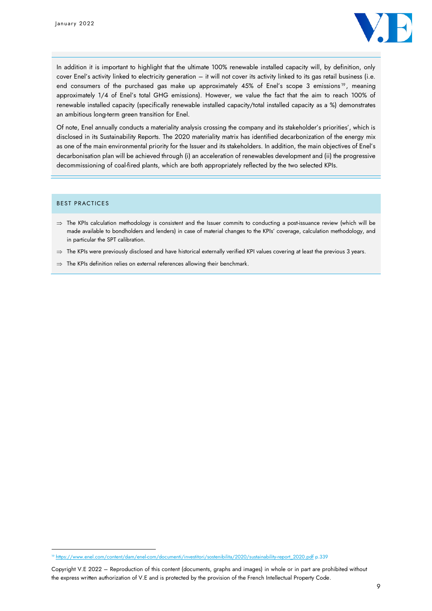

In addition it is important to highlight that the ultimate 100% renewable installed capacity will, by definition, only cover Enel's activity linked to electricity generation – it will not cover its activity linked to its gas retail business (i.e. end consumers of the purchased gas make up approximately 45% of Enel's scope 3 emissions<sup>19</sup>, meaning approximately 1/4 of Enel's total GHG emissions). However, we value the fact that the aim to reach 100% of renewable installed capacity (specifically renewable installed capacity/total installed capacity as a %) demonstrates an ambitious long-term green transition for Enel.

Of note, Enel annually conducts a materiality analysis crossing the company and its stakeholder's priorities', which is disclosed in its Sustainability Reports. The 2020 materiality matrix has identified decarbonization of the energy mix as one of the main environmental priority for the Issuer and its stakeholders. In addition, the main objectives of Enel's decarbonisation plan will be achieved through (i) an acceleration of renewables development and (ii) the progressive decommissioning of coal-fired plants, which are both appropriately reflected by the two selected KPIs.

#### BEST PRACTICES

- $\Rightarrow$  The KPIs calculation methodology is consistent and the Issuer commits to conducting a post-issuance review (which will be made available to bondholders and lenders) in case of material changes to the KPIs' coverage, calculation methodology, and in particular the SPT calibration.
- $\Rightarrow$  The KPIs were previously disclosed and have historical externally verified KPI values covering at least the previous 3 years.
- $\Rightarrow$  The KPIs definition relies on external references allowing their benchmark.

<sup>&</sup>lt;sup>19</sup> [https://www.enel.com/content/dam/enel-com/documenti/investitori/sostenibilita/2020/sustainability-report\\_2020.pdf](https://www.enel.com/content/dam/enel-com/documenti/investitori/sostenibilita/2020/sustainability-report_2020.pdf) p.339

Copyright V.E 2022 – Reproduction of this content (documents, graphs and images) in whole or in part are prohibited without the express written authorization of V.E and is protected by the provision of the French Intellectual Property Code.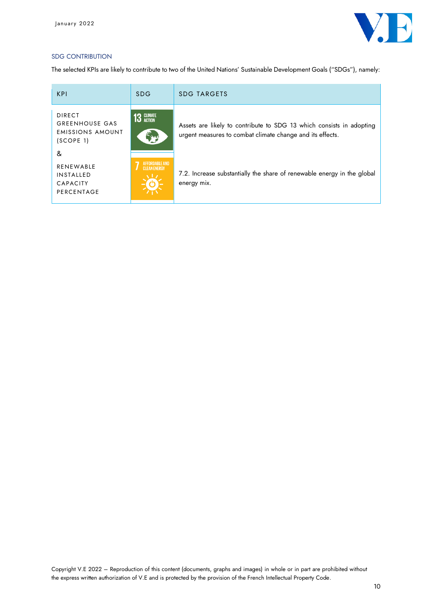

## SDG CONTRIBUTION

The selected KPIs are likely to contribute to two of the United Nations' Sustainable Development Goals ("SDGs"), namely:

| <b>KPI</b>                                                                     | <b>SDG</b>                              | <b>SDG TARGETS</b>                                                                                                                |
|--------------------------------------------------------------------------------|-----------------------------------------|-----------------------------------------------------------------------------------------------------------------------------------|
| <b>DIRECT</b><br><b>GREENHOUSE GAS</b><br><b>EMISSIONS AMOUNT</b><br>(SCOPE 1) | <b>13 GLIMATE</b>                       | Assets are likely to contribute to SDG 13 which consists in adopting<br>urgent measures to combat climate change and its effects. |
| &<br><b>RENEWABLE</b><br><b>INSTALLED</b><br><b>CAPACITY</b><br>PERCENTAGE     | AFFORDARI F AND-<br><b>CLEAN ENERGY</b> | 7.2. Increase substantially the share of renewable energy in the global<br>energy mix.                                            |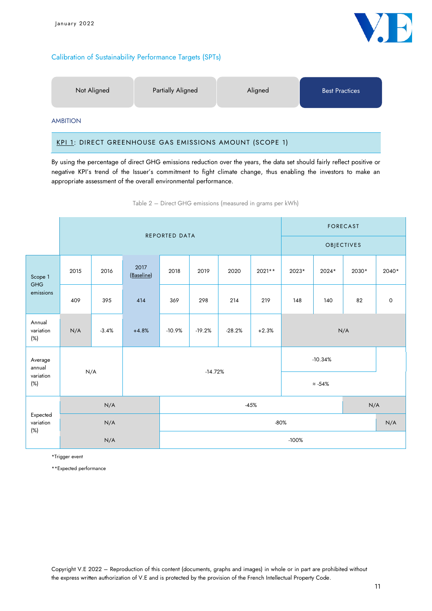## Calibration of Sustainability Performance Targets (SPTs)



AMBITION

### KPI 1: DIRECT GREENHOUSE GAS EMISSIONS AMOUNT (SCOPE 1)

By using the percentage of direct GHG emissions reduction over the years, the data set should fairly reflect positive or negative KPI's trend of the Issuer's commitment to fight climate change, thus enabling the investors to make an appropriate assessment of the overall environmental performance.

Table 2 – Direct GHG emissions (measured in grams per kWh)

|                                 | <b>REPORTED DATA</b> |               |                    |                                             |      |      |          | <b>FORECAST</b> |            |       |                     |  |  |
|---------------------------------|----------------------|---------------|--------------------|---------------------------------------------|------|------|----------|-----------------|------------|-------|---------------------|--|--|
|                                 |                      |               |                    |                                             |      |      |          |                 | OBJECTIVES |       |                     |  |  |
| Scope 1                         | 2015                 | 2016          | 2017<br>(Baseline) | 2018                                        | 2019 | 2020 | $2021**$ | 2023*           | 2024*      | 2030* | 2040*               |  |  |
| <b>GHG</b><br>emissions         | 409                  | 395           | 414                | 369                                         | 298  | 214  | 219      | 148             | 140        | 82    | $\mathsf{O}\xspace$ |  |  |
| Annual<br>variation<br>$(\%)$   | N/A                  | $-3.4%$       | $+4.8%$            | $-10.9%$<br>$-19.2%$<br>$-28.2%$<br>$+2.3%$ |      |      |          | N/A             |            |       |                     |  |  |
| Average<br>annual               |                      |               |                    |                                             |      |      |          | $-10.34%$       |            |       |                     |  |  |
| variation<br>$(\%)$             | N/A                  |               |                    | $-14.72%$                                   |      |      |          | $\approx$ -54%  |            |       |                     |  |  |
|                                 |                      | $-45%$<br>N/A |                    |                                             |      | N/A  |          |                 |            |       |                     |  |  |
| Expected<br>variation<br>$(\%)$ |                      | N/A           |                    |                                             |      |      |          | $-80%$          |            | N/A   |                     |  |  |
|                                 |                      | N/A           |                    | $-100%$                                     |      |      |          |                 |            |       |                     |  |  |

\*Trigger event

\*\*Expected performance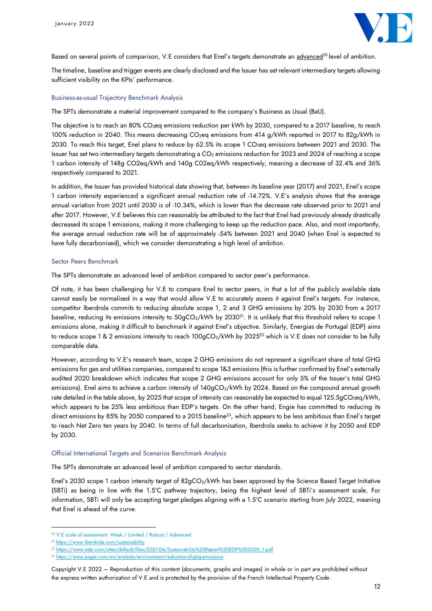

Based on several points of comparison, V.E considers that Enel's targets demonstrate an advanced<sup>20</sup> level of ambition.

The timeline, baseline and trigger events are clearly disclosed and the Issuer has set relevant intermediary targets allowing sufficient visibility on the KPIs' performance.

#### Business-as-usual Trajectory Benchmark Analysis

The SPTs demonstrate a material improvement compared to the company's Business as Usual (BaU).

The objective is to reach an 80% CO<sub>2</sub>eq emissions reduction per kWh by 2030, compared to a 2017 baseline, to reach 100% reduction in 2040. This means decreasing CO<sub>2</sub>eq emissions from 414 g/kWh reported in 2017 to 82g/kWh in 2030. To reach this target, Enel plans to reduce by 62.5% its scope 1 CO<sub>2</sub>eq emissions between 2021 and 2030. The Issuer has set two intermediary targets demonstrating a CO<sub>2</sub> emissions reduction for 2023 and 2024 of reaching a scope 1 carbon intensity of 148g CO2eq/kWh and 140g C02eq/kWh respectively, meaning a decrease of 32.4% and 36% respectively compared to 2021.

In addition, the Issuer has provided historical data showing that, between its baseline year (2017) and 2021, Enel's scope 1 carbon intensity experienced a significant annual reduction rate of -14.72%. V.E's analysis shows that the average annual variation from 2021 until 2030 is of -10.34%, which is lower than the decrease rate observed prior to 2021 and after 2017. However, V.E believes this can reasonably be attributed to the fact that Enel had previously already drastically decreased its scope 1 emissions, making it more challenging to keep up the reduction pace. Also, and most importantly, the average annual reduction rate will be of approximately -54% between 2021 and 2040 (when Enel is expected to have fully decarbonised), which we consider demonstrating a high level of ambition.

#### Sector Peers Benchmark

The SPTs demonstrate an advanced level of ambition compared to sector peer's performance.

Of note, it has been challenging for V.E to compare Enel to sector peers, in that a lot of the publicly available data cannot easily be normalised in a way that would allow V.E to accurately assess it against Enel's targets. For instance, competitor Iberdrola commits to reducing absolute scope 1, 2 and 3 GHG emissions by 20% by 2030 from a 2017 baseline, reducing its emissions intensity to 50gCO2/kWh by 2030<sup>21</sup>. It is unlikely that this threshold refers to scope 1 emissions alone, making it difficult to benchmark it against Enel's objective. Similarly, Energias de Portugal (EDP) aims to reduce scope 1 & 2 emissions intensity to reach 100gCO<sub>2</sub>/kWh by 2025<sup>22</sup> which is V.E does not consider to be fully comparable data.

However, according to V.E's research team, scope 2 GHG emissions do not represent a significant share of total GHG emissions for gas and utilities companies, compared to scope 1&3 emissions (this is further confirmed by Enel's externally audited 2020 breakdown which indicates that scope 2 GHG emissions account for only 5% of the Issuer's total GHG emissions). Enel aims to achieve a carbon intensity of 140gCO<sub>2</sub>/kWh by 2024. Based on the compound annual growth rate detailed in the table above, by 2025 that scope of intensity can reasonably be expected to equal 125.5gCO<sub>2</sub>eq/kWh, which appears to be 25% less ambitious than EDP's targets. On the other hand, Engie has committed to reducing its direct emissions by 85% by 2050 compared to a 2015 baseline<sup>23</sup>, which appears to be less ambitious than Enel's target to reach Net Zero ten years by 2040. In terms of full decarbonisation, Iberdrola seeks to achieve it by 2050 and EDP by 2030.

#### Official International Targets and Scenarios Benchmark Analysis

The SPTs demonstrate an advanced level of ambition compared to sector standards.

Enel's 2030 scope 1 carbon intensity target of 82gCO<sub>2</sub>/kWh has been approved by the Science Based Target Initiative (SBTi) as being in line with the 1.5°C pathway trajectory, being the highest level of SBTi's assessment scale. For information, SBTi will only be accepting target pledges aligning with a 1.5°C scenario starting from July 2022, meaning that Enel is ahead of the curve.

<sup>20</sup> V.E scale of assessment: Weak / Limited / Robust / Advanced

<sup>&</sup>lt;sup>21</sup> https://www.iberdrola.com/sustainability

<sup>22</sup> https://www.edp.com/sites/default/files/2021-04/Sustainability%20Report%20EDP%202020\_1.pdf

<sup>&</sup>lt;sup>23</sup> https://www.engie.com/en/analysts/environment/reduction-of-ghg-emissions

Copyright V.E 2022 – Reproduction of this content (documents, graphs and images) in whole or in part are prohibited without the express written authorization of V.E and is protected by the provision of the French Intellectual Property Code.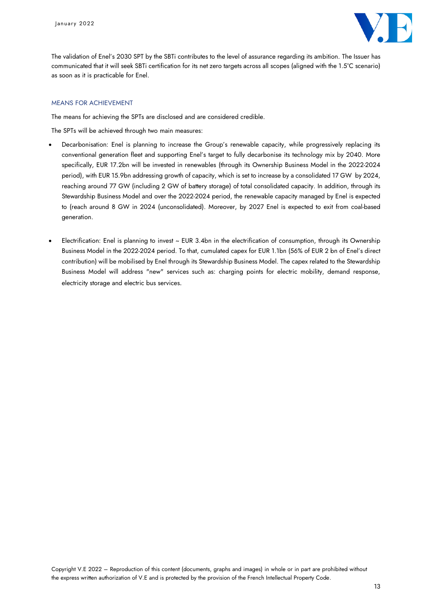

The validation of Enel's 2030 SPT by the SBTi contributes to the level of assurance regarding its ambition. The Issuer has communicated that it will seek SBTi certification for its net zero targets across all scopes (aligned with the 1.5°C scenario) as soon as it is practicable for Enel.

#### MEANS FOR ACHIEVEMENT

The means for achieving the SPTs are disclosed and are considered credible.

The SPTs will be achieved through two main measures:

- Decarbonisation: Enel is planning to increase the Group's renewable capacity, while progressively replacing its conventional generation fleet and supporting Enel's target to fully decarbonise its technology mix by 2040. More specifically, EUR 17.2bn will be invested in renewables (through its Ownership Business Model in the 2022-2024 period), with EUR 15.9bn addressing growth of capacity, which is set to increase by a consolidated 17 GW by 2024, reaching around 77 GW (including 2 GW of battery storage) of total consolidated capacity. In addition, through its Stewardship Business Model and over the 2022-2024 period, the renewable capacity managed by Enel is expected to (reach around 8 GW in 2024 (unconsolidated). Moreover, by 2027 Enel is expected to exit from coal-based generation.
- Electrification: Enel is planning to invest ~ EUR 3.4bn in the electrification of consumption, through its Ownership Business Model in the 2022-2024 period. To that, cumulated capex for EUR 1.1bn (56% of EUR 2 bn of Enel's direct contribution) will be mobilised by Enel through its Stewardship Business Model. The capex related to the Stewardship Business Model will address "new" services such as: charging points for electric mobility, demand response, electricity storage and electric bus services.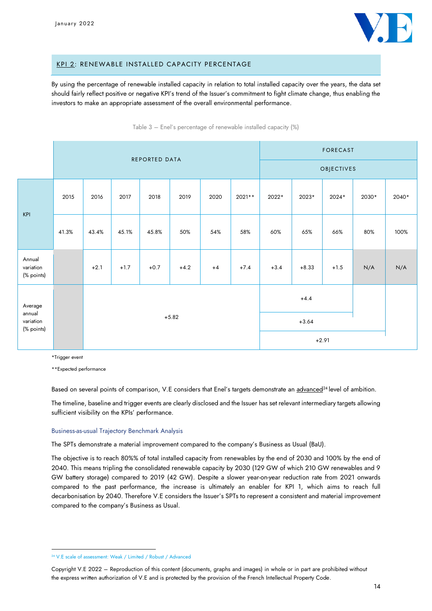

#### KPI 2: RENEWABLE INSTALLED CAPACITY PERCENTAGE

By using the percentage of renewable installed capacity in relation to total installed capacity over the years, the data set should fairly reflect positive or negative KPI's trend of the Issuer's commitment to fight climate change, thus enabling the investors to make an appropriate assessment of the overall environmental performance.

Table 3 – Enel's percentage of renewable installed capacity (%)

|                                   | REPORTED DATA |        |        |        |         |      |         |        |         | <b>FORECAST</b> |       |       |
|-----------------------------------|---------------|--------|--------|--------|---------|------|---------|--------|---------|-----------------|-------|-------|
|                                   |               |        |        |        |         |      |         |        |         | OBJECTIVES      |       |       |
| KPI                               | 2015          | 2016   | 2017   | 2018   | 2019    | 2020 | 2021**  | 2022*  | 2023*   | 2024*           | 2030* | 2040* |
|                                   | 41.3%         | 43.4%  | 45.1%  | 45.8%  | 50%     | 54%  | 58%     | 60%    | 65%     | 66%             | 80%   | 100%  |
| Annual<br>variation<br>(% points) |               | $+2.1$ | $+1.7$ | $+0.7$ | $+4.2$  | $+4$ | $+7.4$  | $+3.4$ | $+8.33$ | $+1.5$          | N/A   | N/A   |
| Average<br>annual                 |               |        |        |        |         |      |         |        | $+4.4$  |                 |       |       |
| variation                         |               |        |        |        | $+5.82$ |      |         |        | $+3.64$ |                 |       |       |
|                                   | (% points)    |        |        |        |         |      | $+2.91$ |        |         |                 |       |       |

\*Trigger event

\*\*Expected performance

Based on several points of comparison, V.E considers that Enel's targets demonstrate an advanced<sup>24</sup> level of ambition.

The timeline, baseline and trigger events are clearly disclosed and the Issuer has set relevant intermediary targets allowing sufficient visibility on the KPIs' performance.

#### Business-as-usual Trajectory Benchmark Analysis

The SPTs demonstrate a material improvement compared to the company's Business as Usual (BaU).

The objective is to reach 80%% of total installed capacity from renewables by the end of 2030 and 100% by the end of 2040. This means tripling the consolidated renewable capacity by 2030 (129 GW of which 210 GW renewables and 9 GW battery storage) compared to 2019 (42 GW). Despite a slower year-on-year reduction rate from 2021 onwards compared to the past performance, the increase is ultimately an enabler for KPI 1, which aims to reach full decarbonisation by 2040. Therefore V.E considers the Issuer's SPTs to represent a consistent and material improvement compared to the company's Business as Usual.

<sup>24</sup> V.E scale of assessment: Weak / Limited / Robust / Advanced

Copyright V.E 2022 – Reproduction of this content (documents, graphs and images) in whole or in part are prohibited without the express written authorization of V.E and is protected by the provision of the French Intellectual Property Code.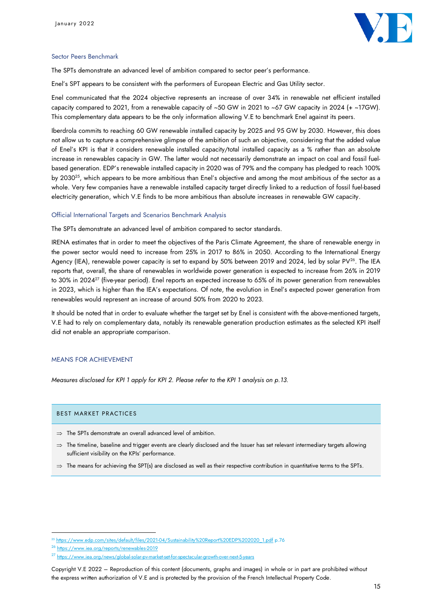

#### Sector Peers Benchmark

The SPTs demonstrate an advanced level of ambition compared to sector peer's performance.

Enel's SPT appears to be consistent with the performers of European Electric and Gas Utility sector.

Enel communicated that the 2024 objective represents an increase of over 34% in renewable net efficient installed capacity compared to 2021, from a renewable capacity of ~50 GW in 2021 to ~67 GW capacity in 2024 (+ ~17GW). This complementary data appears to be the only information allowing V.E to benchmark Enel against its peers.

Iberdrola commits to reaching 60 GW renewable installed capacity by 2025 and 95 GW by 2030. However, this does not allow us to capture a comprehensive glimpse of the ambition of such an objective, considering that the added value of Enel's KPI is that it considers renewable installed capacity/total installed capacity as a % rather than an absolute increase in renewables capacity in GW. The latter would not necessarily demonstrate an impact on coal and fossil fuelbased generation. EDP's renewable installed capacity in 2020 was of 79% and the company has pledged to reach 100% by 2030<sup>25</sup>, which appears to be more ambitious than Enel's objective and among the most ambitious of the sector as a whole. Very few companies have a renewable installed capacity target directly linked to a reduction of fossil fuel-based electricity generation, which V.E finds to be more ambitious than absolute increases in renewable GW capacity.

#### Official International Targets and Scenarios Benchmark Analysis

The SPTs demonstrate an advanced level of ambition compared to sector standards.

IRENA estimates that in order to meet the objectives of the Paris Climate Agreement, the share of renewable energy in the power sector would need to increase from 25% in 2017 to 86% in 2050. According to the International Energy Agency (IEA), renewable power capacity is set to expand by 50% between 2019 and 2024, led by solar PV<sup>26</sup>. The IEA reports that, overall, the share of renewables in worldwide power generation is expected to increase from 26% in 2019 to 30% in 2024<sup>27</sup> (five-year period). Enel reports an expected increase to 65% of its power generation from renewables in 2023, which is higher than the IEA's expectations. Of note, the evolution in Enel's expected power generation from renewables would represent an increase of around 50% from 2020 to 2023.

It should be noted that in order to evaluate whether the target set by Enel is consistent with the above-mentioned targets, V.E had to rely on complementary data, notably its renewable generation production estimates as the selected KPI itself did not enable an appropriate comparison.

#### MEANS FOR ACHIEVEMENT

*Measures disclosed for KPI 1 apply for KPI 2. Please refer to the KPI 1 analysis on p.13.*

#### BEST MARKET PRACTICES

- $\Rightarrow$  The SPTs demonstrate an overall advanced level of ambition.
- $\Rightarrow$  The timeline, baseline and trigger events are clearly disclosed and the Issuer has set relevant intermediary targets allowing sufficient visibility on the KPIs' performance.
- $\Rightarrow$  The means for achieving the SPT(s) are disclosed as well as their respective contribution in quantitative terms to the SPTs.

<sup>25</sup> [https://www.edp.com/sites/default/files/2021-04/Sustainability%20Report%20EDP%202020\\_1.pdf](https://www.edp.com/sites/default/files/2021-04/Sustainability%20Report%20EDP%202020_1.pdf) p.76

<sup>26</sup> <https://www.iea.org/reports/renewables-2019>

<sup>27</sup> <https://www.iea.org/news/global-solar-pv-market-set-for-spectacular-growth-over-next-5-years>

Copyright V.E 2022 – Reproduction of this content (documents, graphs and images) in whole or in part are prohibited without the express written authorization of V.E and is protected by the provision of the French Intellectual Property Code.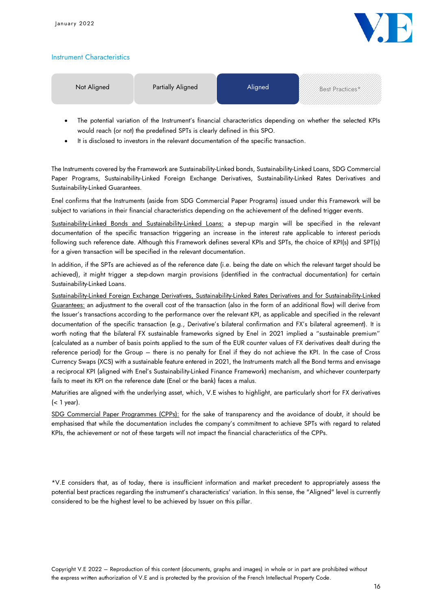

## Instrument Characteristics

| Not Aligned | <b>Partially Aligned</b> | <b>Aligned</b> | Best Practices* |
|-------------|--------------------------|----------------|-----------------|
|             |                          |                |                 |

- The potential variation of the Instrument's financial characteristics depending on whether the selected KPIs would reach (or not) the predefined SPTs is clearly defined in this SPO.
- It is disclosed to investors in the relevant documentation of the specific transaction.

The Instruments covered by the Framework are Sustainability-Linked bonds, Sustainability-Linked Loans, SDG Commercial Paper Programs, Sustainability-Linked Foreign Exchange Derivatives, Sustainability-Linked Rates Derivatives and Sustainability-Linked Guarantees.

Enel confirms that the Instruments (aside from SDG Commercial Paper Programs) issued under this Framework will be subject to variations in their financial characteristics depending on the achievement of the defined trigger events.

Sustainability-Linked Bonds and Sustainability-Linked Loans: a step-up margin will be specified in the relevant documentation of the specific transaction triggering an increase in the interest rate applicable to interest periods following such reference date. Although this Framework defines several KPIs and SPTs, the choice of KPI(s) and SPT(s) for a given transaction will be specified in the relevant documentation.

In addition, if the SPTs are achieved as of the reference date (i.e. being the date on which the relevant target should be achieved), it might trigger a step-down margin provisions (identified in the contractual documentation) for certain Sustainability-Linked Loans.

Sustainability-Linked Foreign Exchange Derivatives, Sustainability-Linked Rates Derivatives and for Sustainability-Linked Guarantees: an adjustment to the overall cost of the transaction (also in the form of an additional flow) will derive from the Issuer's transactions according to the performance over the relevant KPI, as applicable and specified in the relevant documentation of the specific transaction (e.g., Derivative's bilateral confirmation and FX's bilateral agreement). It is worth noting that the bilateral FX sustainable frameworks signed by Enel in 2021 implied a "sustainable premium" (calculated as a number of basis points applied to the sum of the EUR counter values of FX derivatives dealt during the reference period) for the Group – there is no penalty for Enel if they do not achieve the KPI. In the case of Cross Currency Swaps (XCS) with a sustainable feature entered in 2021, the Instruments match all the Bond terms and envisage a reciprocal KPI (aligned with Enel's Sustainability-Linked Finance Framework) mechanism, and whichever counterparty fails to meet its KPI on the reference date (Enel or the bank) faces a malus.

Maturities are aligned with the underlying asset, which, V.E wishes to highlight, are particularly short for FX derivatives (< 1 year).

SDG Commercial Paper Programmes (CPPs): for the sake of transparency and the avoidance of doubt, it should be emphasised that while the documentation includes the company's commitment to achieve SPTs with regard to related KPIs, the achievement or not of these targets will not impact the financial characteristics of the CPPs.

\*V.E considers that, as of today, there is insufficient information and market precedent to appropriately assess the potential best practices regarding the instrument's characteristics' variation. In this sense, the "Aligned" level is currently considered to be the highest level to be achieved by Issuer on this pillar.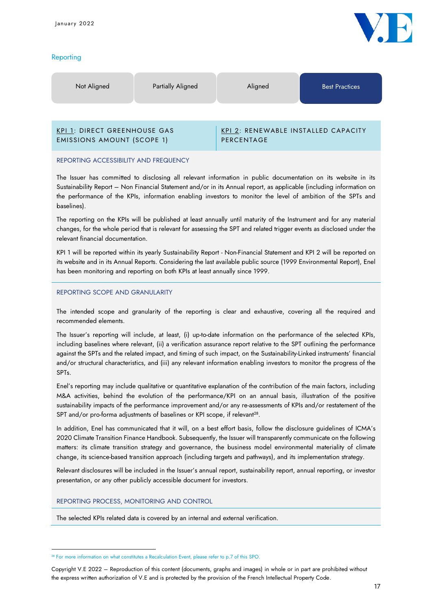## **Reporting**



## EMISSIONS AMOUNT (SCOPE 1)

KPI 1: DIRECT GREENHOUSE GAS

## KPI 2: RENEWABLE INSTALLED CAPACITY PERCENTAGE

#### REPORTING ACCESSIBILITY AND FREQUENCY

The Issuer has committed to disclosing all relevant information in public documentation on its website in its Sustainability Report – Non Financial Statement and/or in its Annual report, as applicable (including information on the performance of the KPIs, information enabling investors to monitor the level of ambition of the SPTs and baselines).

The reporting on the KPIs will be published at least annually until maturity of the Instrument and for any material changes, for the whole period that is relevant for assessing the SPT and related trigger events as disclosed under the relevant financial documentation.

KPI 1 will be reported within its yearly Sustainability Report - Non-Financial Statement and KPI 2 will be reported on its website and in its Annual Reports. Considering the last available public source (1999 Environmental Report), Enel has been monitoring and reporting on both KPIs at least annually since 1999.

### REPORTING SCOPE AND GRANULARITY

The intended scope and granularity of the reporting is clear and exhaustive, covering all the required and recommended elements.

The Issuer's reporting will include, at least, (i) up-to-date information on the performance of the selected KPIs, including baselines where relevant, (ii) a verification assurance report relative to the SPT outlining the performance against the SPTs and the related impact, and timing of such impact, on the Sustainability-Linked instruments' financial and/or structural characteristics, and (iii) any relevant information enabling investors to monitor the progress of the SPTs.

Enel's reporting may include qualitative or quantitative explanation of the contribution of the main factors, including M&A activities, behind the evolution of the performance/KPI on an annual basis, illustration of the positive sustainability impacts of the performance improvement and/or any re-assessments of KPIs and/or restatement of the SPT and/or pro-forma adjustments of baselines or KPI scope, if relevant $^{28}\cdot$ 

In addition, Enel has communicated that it will, on a best effort basis, follow the disclosure guidelines of ICMA's 2020 Climate Transition Finance Handbook. Subsequently, the Issuer will transparently communicate on the following matters: its climate transition strategy and governance, the business model environmental materiality of climate change, its science-based transition approach (including targets and pathways), and its implementation strategy.

Relevant disclosures will be included in the Issuer's annual report, sustainability report, annual reporting, or investor presentation, or any other publicly accessible document for investors.

## REPORTING PROCESS, MONITORING AND CONTROL

The selected KPIs related data is covered by an internal and external verification.

<sup>&</sup>lt;sup>28</sup> For more information on what constitutes a Recalculation Event, please refer to p.7 of this SPO.

Copyright V.E 2022 – Reproduction of this content (documents, graphs and images) in whole or in part are prohibited without the express written authorization of V.E and is protected by the provision of the French Intellectual Property Code.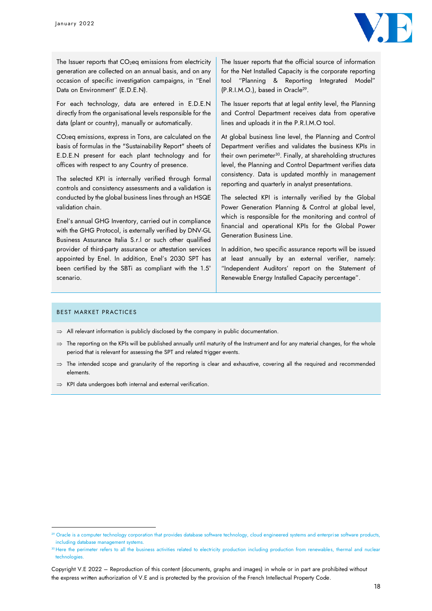

The Issuer reports that  $CO<sub>2</sub>$ eq emissions from electricity generation are collected on an annual basis, and on any occasion of specific investigation campaigns, in "Enel Data on Environment" (E.D.E.N).

For each technology, data are entered in E.D.E.N directly from the organisational levels responsible for the data (plant or country), manually or automatically.

CO2eq emissions, express in Tons, are calculated on the basis of formulas in the "Sustainability Report" sheets of E.D.E.N present for each plant technology and for offices with respect to any Country of presence.

The selected KPI is internally verified through formal controls and consistency assessments and a validation is conducted by the global business lines through an HSQE validation chain.

Enel's annual GHG Inventory, carried out in compliance with the GHG Protocol, is externally verified by DNV-GL Business Assurance Italia S.r.l or such other qualified provider of third-party assurance or attestation services appointed by Enel. In addition, Enel's 2030 SPT has been certified by the SBTi as compliant with the 1.5° scenario.

The Issuer reports that the official source of information for the Net Installed Capacity is the corporate reporting tool "Planning & Reporting Integrated Model" (P.R.I.M.O.), based in Oracle<sup>29</sup> .

The Issuer reports that at legal entity level, the Planning and Control Department receives data from operative lines and uploads it in the P.R.I.M.O tool.

At global business line level, the Planning and Control Department verifies and validates the business KPIs in their own perimeter<sup>30</sup>. Finally, at shareholding structures level, the Planning and Control Department verifies data consistency. Data is updated monthly in management reporting and quarterly in analyst presentations.

The selected KPI is internally verified by the Global Power Generation Planning & Control at global level, which is responsible for the monitoring and control of financial and operational KPIs for the Global Power Generation Business Line.

In addition, two specific assurance reports will be issued at least annually by an external verifier, namely: "Independent Auditors' report on the Statement of Renewable Energy Installed Capacity percentage".

#### BEST MARKET PRACTICES

- $\Rightarrow$  All relevant information is publicly disclosed by the company in public documentation.
- $\Rightarrow$  The reporting on the KPIs will be published annually until maturity of the Instrument and for any material changes, for the whole period that is relevant for assessing the SPT and related trigger events.
- $\Rightarrow$  The intended scope and granularity of the reporting is clear and exhaustive, covering all the required and recommended elements.
- $\Rightarrow$  KPI data undergoes both internal and external verification.

<sup>&</sup>lt;sup>29</sup> Oracle is a computer technology corporation that provides database software technology, cloud engineered systems and enterprise software products, including database management systems.

<sup>30</sup> Here the perimeter refers to all the business activities related to electricity production including production from renewables, thermal and nuclear technologies.

Copyright V.E 2022 – Reproduction of this content (documents, graphs and images) in whole or in part are prohibited without the express written authorization of V.E and is protected by the provision of the French Intellectual Property Code.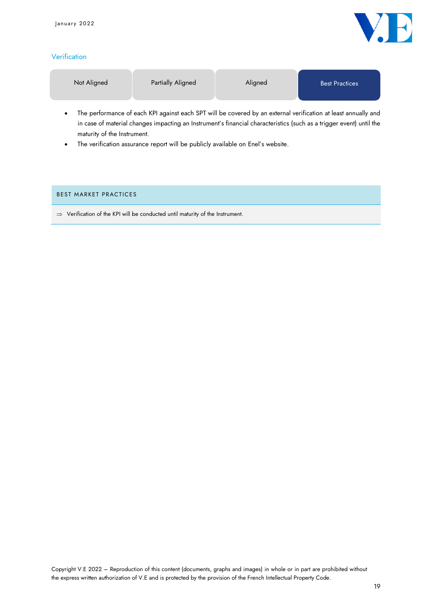

## **Verification**

|  | Not Aligned | <b>Partially Aligned</b> | Aligned | <b>Best Practices</b> |
|--|-------------|--------------------------|---------|-----------------------|
|--|-------------|--------------------------|---------|-----------------------|

- The performance of each KPI against each SPT will be covered by an external verification at least annually and in case of material changes impacting an Instrument's financial characteristics (such as a trigger event) until the maturity of the Instrument.
- The verification assurance report will be publicly available on Enel's website.

## BEST MARKET PRACTICES

 $\Rightarrow$  Verification of the KPI will be conducted until maturity of the Instrument.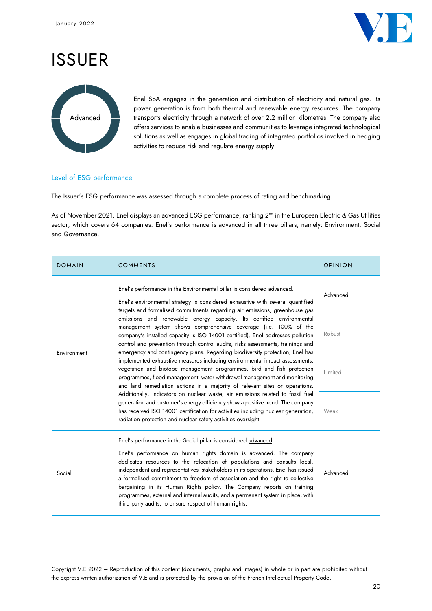

# ISSUER



Enel SpA engages in the generation and distribution of electricity and natural gas. Its power generation is from both thermal and renewable energy resources. The company transports electricity through a network of over 2.2 million kilometres. The company also offers services to enable businesses and communities to leverage integrated technological solutions as well as engages in global trading of integrated portfolios involved in hedging activities to reduce risk and regulate energy supply.

## Level of ESG performance

The Issuer's ESG performance was assessed through a complete process of rating and benchmarking.

As of November 2021, Enel displays an advanced ESG performance, ranking 2<sup>nd</sup> in the European Electric & Gas Utilities sector, which covers 64 companies. Enel's performance is advanced in all three pillars, namely: Environment, Social and Governance.

| <b>DOMAIN</b> | <b>COMMENTS</b>                                                                                                                                                                                                                                                                                                                                                                                                                                                                                                                                                                                               | <b>OPINION</b> |
|---------------|---------------------------------------------------------------------------------------------------------------------------------------------------------------------------------------------------------------------------------------------------------------------------------------------------------------------------------------------------------------------------------------------------------------------------------------------------------------------------------------------------------------------------------------------------------------------------------------------------------------|----------------|
|               | Enel's performance in the Environmental pillar is considered advanced.<br>Enel's environmental strategy is considered exhaustive with several quantified<br>targets and formalised commitments regarding air emissions, greenhouse gas                                                                                                                                                                                                                                                                                                                                                                        | Advanced       |
| Environment   | emissions and renewable energy capacity. Its certified environmental<br>management system shows comprehensive coverage (i.e. 100% of the<br>company's installed capacity is ISO 14001 certified). Enel addresses pollution<br>control and prevention through control audits, risks assessments, trainings and<br>emergency and contingency plans. Regarding biodiversity protection, Enel has                                                                                                                                                                                                                 | Robust         |
|               | implemented exhaustive measures including environmental impact assessments,<br>vegetation and biotope management programmes, bird and fish protection<br>programmes, flood management, water withdrawal management and monitoring<br>and land remediation actions in a majority of relevant sites or operations.                                                                                                                                                                                                                                                                                              | Limited        |
|               | Additionally, indicators on nuclear waste, air emissions related to fossil fuel<br>generation and customer's energy efficiency show a positive trend. The company<br>has received ISO 14001 certification for activities including nuclear generation,<br>radiation protection and nuclear safety activities oversight.                                                                                                                                                                                                                                                                                       | Weak           |
| Social        | Enel's performance in the Social pillar is considered advanced.<br>Enel's performance on human rights domain is advanced. The company<br>dedicates resources to the relocation of populations and consults local,<br>independent and representatives' stakeholders in its operations. Enel has issued<br>a formalised commitment to freedom of association and the right to collective<br>bargaining in its Human Rights policy. The Company reports on training<br>programmes, external and internal audits, and a permanent system in place, with<br>third party audits, to ensure respect of human rights. | Advanced       |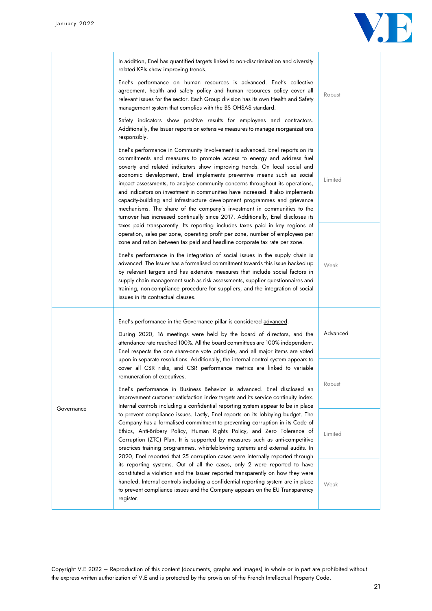

|            | In addition, Enel has quantified targets linked to non-discrimination and diversity<br>related KPIs show improving trends.<br>Enel's performance on human resources is advanced. Enel's collective<br>agreement, health and safety policy and human resources policy cover all<br>relevant issues for the sector. Each Group division has its own Health and Safety<br>management system that complies with the BS OHSAS standard.<br>Safety indicators show positive results for employees and contractors.<br>Additionally, the Issuer reports on extensive measures to manage reorganizations                                                                                                                                                                                                                                                                                                                                                                                                                                                                                                                                                                                                                                                                                                                                                                                                                                                      | Robust          |
|------------|-------------------------------------------------------------------------------------------------------------------------------------------------------------------------------------------------------------------------------------------------------------------------------------------------------------------------------------------------------------------------------------------------------------------------------------------------------------------------------------------------------------------------------------------------------------------------------------------------------------------------------------------------------------------------------------------------------------------------------------------------------------------------------------------------------------------------------------------------------------------------------------------------------------------------------------------------------------------------------------------------------------------------------------------------------------------------------------------------------------------------------------------------------------------------------------------------------------------------------------------------------------------------------------------------------------------------------------------------------------------------------------------------------------------------------------------------------|-----------------|
|            | responsibly.<br>Enel's performance in Community Involvement is advanced. Enel reports on its<br>commitments and measures to promote access to energy and address fuel<br>poverty and related indicators show improving trends. On local social and<br>economic development, Enel implements preventive means such as social<br>impact assessments, to analyse community concerns throughout its operations,<br>and indicators on investment in communities have increased. It also implements<br>capacity-building and infrastructure development programmes and grievance<br>mechanisms. The share of the company's investment in communities to the<br>turnover has increased continually since 2017. Additionally, Enel discloses its<br>taxes paid transparently. Its reporting includes taxes paid in key regions of<br>operation, sales per zone, operating profit per zone, number of employees per<br>zone and ration between tax paid and headline corporate tax rate per zone.<br>Enel's performance in the integration of social issues in the supply chain is<br>advanced. The Issuer has a formalised commitment towards this issue backed up<br>by relevant targets and has extensive measures that include social factors in<br>supply chain management such as risk assessments, supplier questionnaires and<br>training, non-compliance procedure for suppliers, and the integration of social<br>issues in its contractual clauses. | Limited<br>Weak |
|            | Enel's performance in the Governance pillar is considered advanced.<br>During 2020, 16 meetings were held by the board of directors, and the<br>attendance rate reached 100%. All the board committees are 100% independent.<br>Enel respects the one share-one vote principle, and all major items are voted                                                                                                                                                                                                                                                                                                                                                                                                                                                                                                                                                                                                                                                                                                                                                                                                                                                                                                                                                                                                                                                                                                                                         | Advanced        |
| Governance | upon in separate resolutions. Additionally, the internal control system appears to<br>cover all CSR risks, and CSR performance metrics are linked to variable<br>remuneration of executives.<br>Enel's performance in Business Behavior is advanced. Enel disclosed an<br>improvement customer satisfaction index targets and its service continuity index.<br>Internal controls including a confidential reporting system appear to be in place                                                                                                                                                                                                                                                                                                                                                                                                                                                                                                                                                                                                                                                                                                                                                                                                                                                                                                                                                                                                      | Robust          |
|            | to prevent compliance issues. Lastly, Enel reports on its lobbying budget. The<br>Company has a formalised commitment to preventing corruption in its Code of<br>Ethics, Anti-Bribery Policy, Human Rights Policy, and Zero Tolerance of<br>Corruption (ZTC) Plan. It is supported by measures such as anti-competitive<br>practices training programmes, whistleblowing systems and external audits. In<br>2020, Enel reported that 25 corruption cases were internally reported through                                                                                                                                                                                                                                                                                                                                                                                                                                                                                                                                                                                                                                                                                                                                                                                                                                                                                                                                                             | Limited         |
|            | its reporting systems. Out of all the cases, only 2 were reported to have<br>constituted a violation and the Issuer reported transparently on how they were<br>handled. Internal controls including a confidential reporting system are in place<br>to prevent compliance issues and the Company appears on the EU Transparency<br>register.                                                                                                                                                                                                                                                                                                                                                                                                                                                                                                                                                                                                                                                                                                                                                                                                                                                                                                                                                                                                                                                                                                          | Weak            |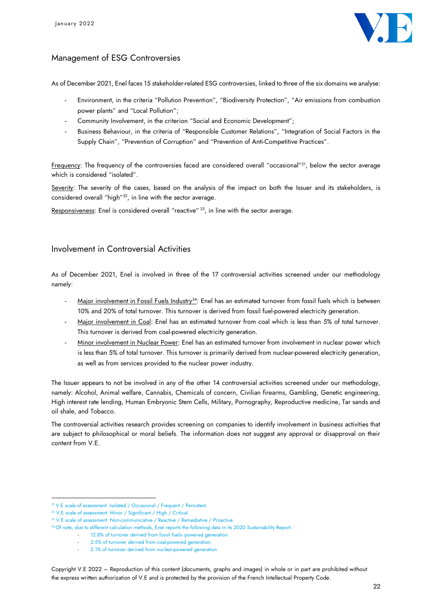

## Management of ESG Controversies

As of December 2021, Enel faces 15 stakeholder-related ESG controversies, linked to three of the six domains we analyse:

- Environment, in the criteria "Pollution Prevention", "Biodiversity Protection", "Air emissions from combustion power plants" and "Local Pollution";
- Community Involvement, in the criterion "Social and Economic Development";
- Business Behaviour, in the criteria of "Responsible Customer Relations", "Integration of Social Factors in the Supply Chain", "Prevention of Corruption" and "Prevention of Anti-Competitive Practices".

<u>Frequency</u>: The frequency of the controversies faced are considered overall "occasional"<sup>31</sup>, below the sector average which is considered "isolated".

Severity: The severity of the cases, based on the analysis of the impact on both the Issuer and its stakeholders, is considered overall "high"<sup>32</sup> , in line with the sector average.

Responsiveness: Enel is considered overall "reactive" <sup>33</sup>, in line with the sector average.

## Involvement in Controversial Activities

As of December 2021, Enel is involved in three of the 17 controversial activities screened under our methodology namely:

- Major involvement in Fossil Fuels Industry<sup>34</sup>: Enel has an estimated turnover from fossil fuels which is between 10% and 20% of total turnover. This turnover is derived from fossil fuel-powered electricity generation.
- Major involvement in Coal: Enel has an estimated turnover from coal which is less than 5% of total turnover. This turnover is derived from coal-powered electricity generation.
- Minor involvement in Nuclear Power: Enel has an estimated turnover from involvement in nuclear power which is less than 5% of total turnover. This turnover is primarily derived from nuclear-powered electricity generation, as well as from services provided to the nuclear power industry.

The Issuer appears to not be involved in any of the other 14 controversial activities screened under our methodology, namely: Alcohol, Animal welfare, Cannabis, Chemicals of concern, Civilian firearms, Gambling, Genetic engineering, High interest rate lending, Human Embryonic Stem Cells, Military, Pornography, Reproductive medicine, Tar sands and oil shale, and Tobacco.

The controversial activities research provides screening on companies to identify involvement in business activities that are subject to philosophical or moral beliefs. The information does not suggest any approval or disapproval on their content from V.E.

<sup>&</sup>lt;sup>31</sup> V.E scale of assessment: Isolated / Occasional / Frequent / Persistent.

<sup>&</sup>lt;sup>32</sup> V.E scale of assessment: Minor / Significant / High / Critical.

<sup>&</sup>lt;sup>33</sup> V.E scale of assessment: Non-communicative / Reactive / Remediative / Proactive.

<sup>&</sup>lt;sup>34</sup> Of note, due to different calculation methods, Enel reports the following data in its 2020 Sustainability Report:

<sup>12.8%</sup> of turnover derived from fossil fuels- powered generation

<sup>2.5%</sup> of turnover derived from coal-powered generation

<sup>2.1%</sup> of turnover derived from nuclear-powered generation

Copyright V.E 2022 – Reproduction of this content (documents, graphs and images) in whole or in part are prohibited without the express written authorization of V.E and is protected by the provision of the French Intellectual Property Code.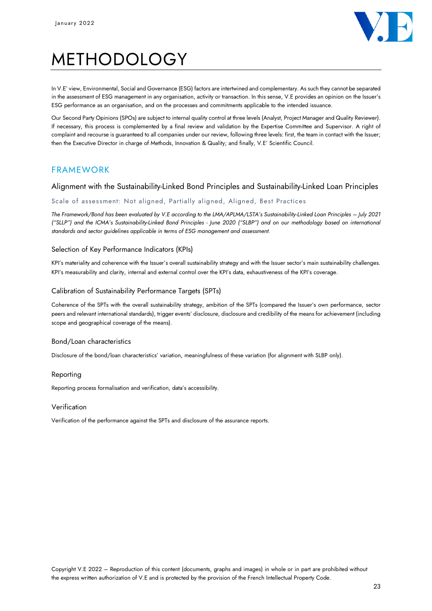

# METHODOLOGY

In V.E' view, Environmental, Social and Governance (ESG) factors are intertwined and complementary. As such they cannot be separated in the assessment of ESG management in any organisation, activity or transaction. In this sense, V.E provides an opinion on the Issuer's ESG performance as an organisation, and on the processes and commitments applicable to the intended issuance.

Our Second Party Opinions (SPOs) are subject to internal quality control at three levels (Analyst, Project Manager and Quality Reviewer). If necessary, this process is complemented by a final review and validation by the Expertise Committee and Supervisor. A right of complaint and recourse is guaranteed to all companies under our review, following three levels: first, the team in contact with the Issuer; then the Executive Director in charge of Methods, Innovation & Quality; and finally, V.E' Scientific Council.

## FRAMEWORK

## Alignment with the Sustainability-Linked Bond Principles and Sustainability-Linked Loan Principles

### Scale of assessment: Not aligned, Partially aligned, Aligned, Best Practices

*The Framework/Bond has been evaluated by V.E according to the LMA/APLMA/LSTA's Sustainability-Linked Loan Principles – July 2021 ("SLLP") and the ICMA's Sustainability-Linked Bond Principles - June 2020 ("SLBP") and on our methodology based on international standards and sector guidelines applicable in terms of ESG management and assessment.*

### Selection of Key Performance Indicators (KPIs)

KPI's materiality and coherence with the Issuer's overall sustainability strategy and with the Issuer sector's main sustainability challenges. KPI's measurability and clarity, internal and external control over the KPI's data, exhaustiveness of the KPI's coverage.

#### Calibration of Sustainability Performance Targets (SPTs)

Coherence of the SPTs with the overall sustainability strategy, ambition of the SPTs (compared the Issuer's own performance, sector peers and relevant international standards), trigger events' disclosure, disclosure and credibility of the means for achievement (including scope and geographical coverage of the means).

#### Bond/Loan characteristics

Disclosure of the bond/loan characteristics' variation, meaningfulness of these variation (for alignment with SLBP only).

#### Reporting

Reporting process formalisation and verification, data's accessibility.

#### Verification

Verification of the performance against the SPTs and disclosure of the assurance reports.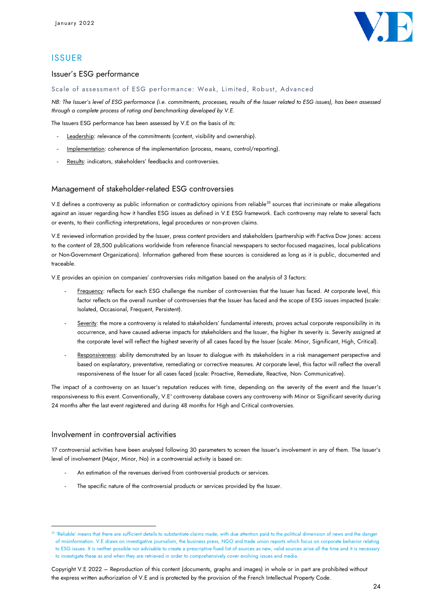

## **ISSUER**

### Issuer's ESG performance

Scale of assessment of ESG performance: Weak, Limited, Robust, Advanced

*NB: The Issuer's level of ESG performance (i.e. commitments, processes, results of the Issuer related to ESG issues), has been assessed through a complete process of rating and benchmarking developed by V.E.* 

The Issuers ESG performance has been assessed by V.E on the basis of its:

- Leadership: relevance of the commitments (content, visibility and ownership).
- Implementation: coherence of the implementation (process, means, control/reporting).
- Results: indicators, stakeholders' feedbacks and controversies.

### Management of stakeholder-related ESG controversies

V.E defines a controversy as public information or contradictory opinions from reliable<sup>35</sup> sources that incriminate or make allegations against an issuer regarding how it handles ESG issues as defined in V.E ESG framework. Each controversy may relate to several facts or events, to their conflicting interpretations, legal procedures or non-proven claims.

V.E reviewed information provided by the Issuer, press content providers and stakeholders (partnership with Factiva Dow Jones: access to the content of 28,500 publications worldwide from reference financial newspapers to sector-focused magazines, local publications or Non-Government Organizations). Information gathered from these sources is considered as long as it is public, documented and traceable.

V.E provides an opinion on companies' controversies risks mitigation based on the analysis of 3 factors:

- Frequency: reflects for each ESG challenge the number of controversies that the Issuer has faced. At corporate level, this factor reflects on the overall number of controversies that the Issuer has faced and the scope of ESG issues impacted (scale: Isolated, Occasional, Frequent, Persistent).
- Severity: the more a controversy is related to stakeholders' fundamental interests, proves actual corporate responsibility in its occurrence, and have caused adverse impacts for stakeholders and the Issuer, the higher its severity is. Severity assigned at the corporate level will reflect the highest severity of all cases faced by the Issuer (scale: Minor, Significant, High, Critical).
- Responsiveness: ability demonstrated by an Issuer to dialogue with its stakeholders in a risk management perspective and based on explanatory, preventative, remediating or corrective measures. At corporate level, this factor will reflect the overall responsiveness of the Issuer for all cases faced (scale: Proactive, Remediate, Reactive, Non- Communicative).

The impact of a controversy on an Issuer's reputation reduces with time, depending on the severity of the event and the Issuer's responsiveness to this event. Conventionally, V.E' controversy database covers any controversy with Minor or Significant severity during 24 months after the last event registered and during 48 months for High and Critical controversies.

## Involvement in controversial activities

17 controversial activities have been analysed following 30 parameters to screen the Issuer's involvement in any of them. The Issuer's level of involvement (Major, Minor, No) in a controversial activity is based on:

- An estimation of the revenues derived from controversial products or services.
- The specific nature of the controversial products or services provided by the Issuer.

<sup>&</sup>lt;sup>35</sup> 'Reliable' means that there are sufficient details to substantiate claims made, with due attention paid to the political dimension of news and the danger of misinformation. V.E draws on investigative journalism, the business press, NGO and trade union reports which focus on corporate behavior relating to ESG issues. It is neither possible nor advisable to create a prescriptive fixed list of sources as new, valid sources arise all the time and it is necessary to investigate these as and when they are retrieved in order to comprehensively cover evolving issues and media.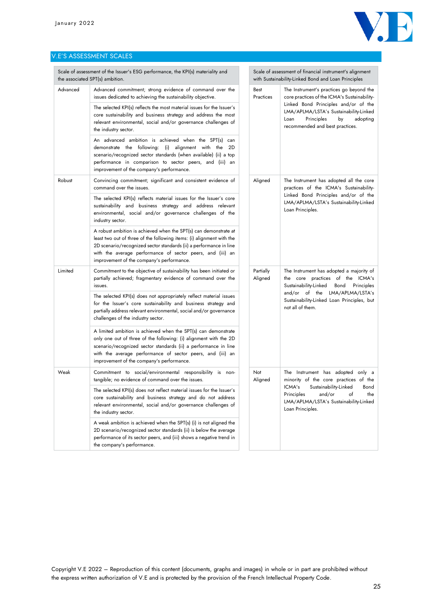

### V.E'S ASSESSMENT SCALES

|          | Scale of assessment of the Issuer's ESG performance, the KPI(s) materiality and<br>the associated SPT(s) ambition.                                                                                                                                                                                                         |                      | Scale of assessment of financial instrument's alignment<br>with Sustainability-Linked Bond and Loan Principles                                            |  |
|----------|----------------------------------------------------------------------------------------------------------------------------------------------------------------------------------------------------------------------------------------------------------------------------------------------------------------------------|----------------------|-----------------------------------------------------------------------------------------------------------------------------------------------------------|--|
| Advanced | Advanced commitment; strong evidence of command over the<br>issues dedicated to achieving the sustainability objective.                                                                                                                                                                                                    | Best<br>Practices    | The Instrument's practices go beyond the<br>core practices of the ICMA's Sustainability-                                                                  |  |
|          | The selected KPI(s) reflects the most material issues for the Issuer's<br>core sustainability and business strategy and address the most<br>relevant environmental, social and/or governance challenges of<br>the industry sector.                                                                                         |                      | Linked Bond Principles and/or of the<br>LMA/APLMA/LSTA's Sustainability-Linked<br>Principles<br>by<br>Loan<br>adopting<br>recommended and best practices. |  |
|          | An advanced ambition is achieved when the SPT(s) can<br>demonstrate the following: (i) alignment with the 2D<br>scenario/recognized sector standards (when available) (ii) a top<br>performance in comparison to sector peers, and (iii) an<br>improvement of the company's performance.                                   |                      |                                                                                                                                                           |  |
| Robust   | Convincing commitment; significant and consistent evidence of<br>command over the issues.                                                                                                                                                                                                                                  | Aligned              | The Instrument has adopted all the core<br>practices of the ICMA's Sustainability-                                                                        |  |
|          | The selected KPI(s) reflects material issues for the Issuer's core<br>sustainability and business strategy and address relevant<br>environmental, social and/or governance challenges of the<br>industry sector.                                                                                                           |                      | Linked Bond Principles and/or of the<br>LMA/APLMA/LSTA's Sustainability-Linked<br>Loan Principles.                                                        |  |
|          | A robust ambition is achieved when the SPT(s) can demonstrate at<br>least two out of three of the following items: (i) alignment with the<br>2D scenario/recognized sector standards (ii) a performance in line<br>with the average performance of sector peers, and (iii) an<br>improvement of the company's performance. |                      |                                                                                                                                                           |  |
| Limited  | Commitment to the objective of sustainability has been initiated or<br>partially achieved; fragmentary evidence of command over the<br>issues.                                                                                                                                                                             | Partially<br>Aligned | The Instrument has adopted a majority of<br>the core practices of the ICMA's<br>Sustainability-Linked<br>Bond<br>Principles                               |  |
|          | The selected KPI(s) does not appropriately reflect material issues<br>for the Issuer's core sustainability and business strategy and<br>partially address relevant environmental, social and/or governance<br>challenges of the industry sector.                                                                           |                      | and/or of the LMA/APLMA/LSTA's<br>Sustainability-Linked Loan Principles, but<br>not all of them.                                                          |  |
|          | A limited ambition is achieved when the SPT(s) can demonstrate<br>only one out of three of the following: (i) alignment with the 2D<br>scenario/recognized sector standards (ii) a performance in line<br>with the average performance of sector peers, and (iii) an<br>improvement of the company's performance.          |                      |                                                                                                                                                           |  |
| Weak     | Commitment to social/environmental responsibility is non-<br>tangible; no evidence of command over the issues.                                                                                                                                                                                                             | Not<br>Aligned       | The Instrument has adopted only a<br>minority of the core practices of the                                                                                |  |
|          | The selected KPI(s) does not reflect material issues for the Issuer's<br>core sustainability and business strategy and do not address<br>relevant environmental, social and/or governance challenges of<br>the industry sector.                                                                                            |                      | Sustainability-Linked<br>ICMA's<br>Bond<br>Principles and/or of<br>the<br>LMA/APLMA/LSTA's Sustainability-Linked<br>Loan Principles.                      |  |
|          | A weak ambition is achieved when the SPT(s) (i) is not aligned the<br>2D scenario/recognized sector standards (ii) is below the average<br>performance of its sector peers, and (iii) shows a negative trend in<br>the company's performance.                                                                              |                      |                                                                                                                                                           |  |
|          |                                                                                                                                                                                                                                                                                                                            |                      |                                                                                                                                                           |  |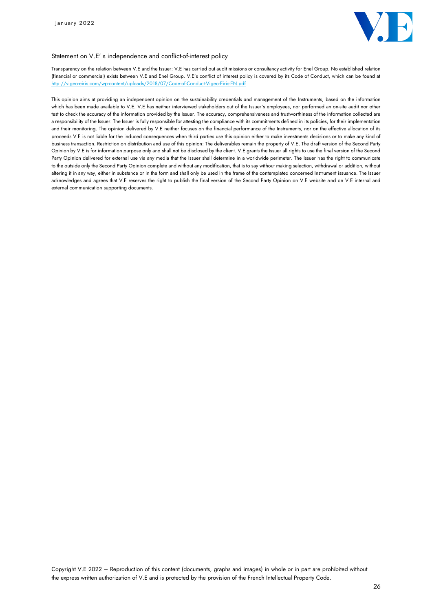

#### Statement on V.E' s independence and conflict-of-interest policy

Transparency on the relation between V.E and the Issuer: V.E has carried out audit missions or consultancy activity for Enel Group. No established relation (financial or commercial) exists between V.E and Enel Group. V.E's conflict of interest policy is covered by its Code of Conduct, which can be found at <http://vigeo-eiris.com/wp-content/uploads/2018/07/Code-of-Conduct-Vigeo-Eiris-EN.pdf>

This opinion aims at providing an independent opinion on the sustainability credentials and management of the Instruments, based on the information which has been made available to V.E. V.E has neither interviewed stakeholders out of the Issuer's employees, nor performed an on-site audit nor other test to check the accuracy of the information provided by the Issuer. The accuracy, comprehensiveness and trustworthiness of the information collected are a responsibility of the Issuer. The Issuer is fully responsible for attesting the compliance with its commitments defined in its policies, for their implementation and their monitoring. The opinion delivered by V.E neither focuses on the financial performance of the Instruments, nor on the effective allocation of its proceeds V.E is not liable for the induced consequences when third parties use this opinion either to make investments decisions or to make any kind of business transaction. Restriction on distribution and use of this opinion: The deliverables remain the property of V.E. The draft version of the Second Party Opinion by V.E is for information purpose only and shall not be disclosed by the client. V.E grants the Issuer all rights to use the final version of the Second Party Opinion delivered for external use via any media that the Issuer shall determine in a worldwide perimeter. The Issuer has the right to communicate to the outside only the Second Party Opinion complete and without any modification, that is to say without making selection, withdrawal or addition, without altering it in any way, either in substance or in the form and shall only be used in the frame of the contemplated concerned Instrument issuance. The Issuer acknowledges and agrees that V.E reserves the right to publish the final version of the Second Party Opinion on V.E website and on V.E internal and external communication supporting documents.